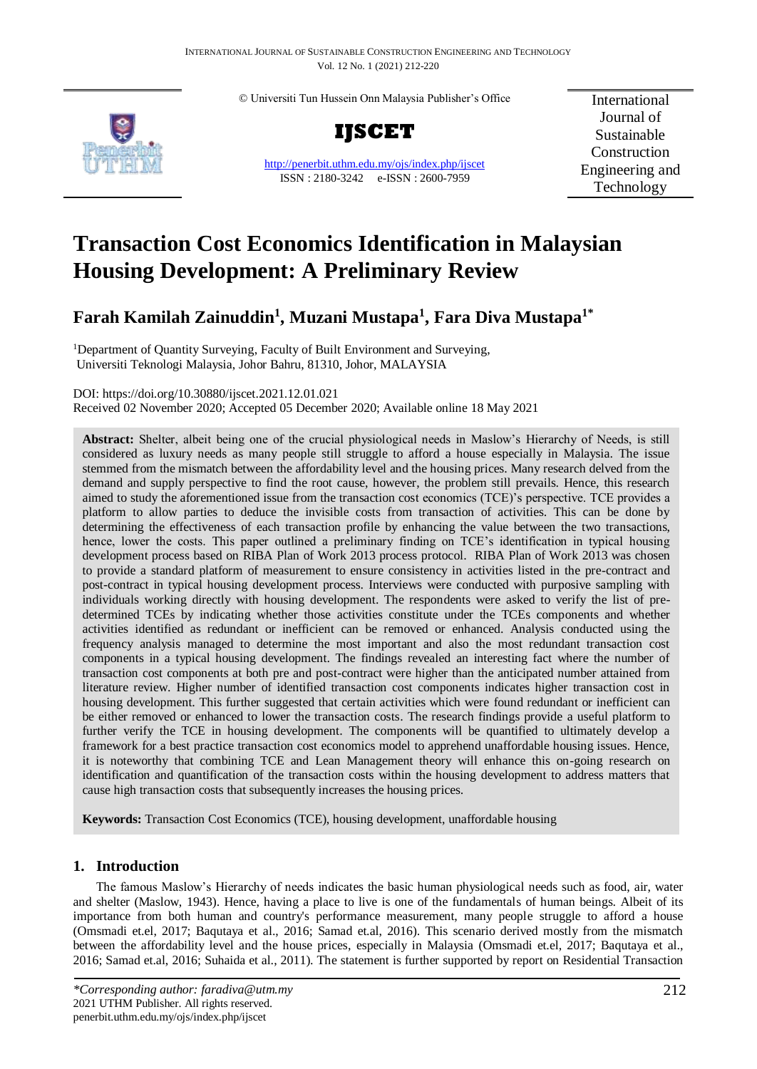© Universiti Tun Hussein Onn Malaysia Publisher's Office





<http://penerbit.uthm.edu.my/ojs/index.php/ijscet> ISSN : 2180-3242 e-ISSN : 2600-7959

International Journal of Sustainable Construction Engineering and Technology

# **Transaction Cost Economics Identification in Malaysian Housing Development: A Preliminary Review**

## **Farah Kamilah Zainuddin<sup>1</sup> , Muzani Mustapa<sup>1</sup> , Fara Diva Mustapa1\***

<sup>1</sup>Department of Quantity Surveying, Faculty of Built Environment and Surveying, Universiti Teknologi Malaysia, Johor Bahru, 81310, Johor, MALAYSIA

DOI: https://doi.org/10.30880/ijscet.2021.12.01.021

Received 02 November 2020; Accepted 05 December 2020; Available online 18 May 2021

**Abstract:** Shelter, albeit being one of the crucial physiological needs in Maslow's Hierarchy of Needs, is still considered as luxury needs as many people still struggle to afford a house especially in Malaysia. The issue stemmed from the mismatch between the affordability level and the housing prices. Many research delved from the demand and supply perspective to find the root cause, however, the problem still prevails. Hence, this research aimed to study the aforementioned issue from the transaction cost economics (TCE)'s perspective. TCE provides a platform to allow parties to deduce the invisible costs from transaction of activities. This can be done by determining the effectiveness of each transaction profile by enhancing the value between the two transactions, hence, lower the costs. This paper outlined a preliminary finding on TCE's identification in typical housing development process based on RIBA Plan of Work 2013 process protocol. RIBA Plan of Work 2013 was chosen to provide a standard platform of measurement to ensure consistency in activities listed in the pre-contract and post-contract in typical housing development process. Interviews were conducted with purposive sampling with individuals working directly with housing development. The respondents were asked to verify the list of predetermined TCEs by indicating whether those activities constitute under the TCEs components and whether activities identified as redundant or inefficient can be removed or enhanced. Analysis conducted using the frequency analysis managed to determine the most important and also the most redundant transaction cost components in a typical housing development. The findings revealed an interesting fact where the number of transaction cost components at both pre and post-contract were higher than the anticipated number attained from literature review. Higher number of identified transaction cost components indicates higher transaction cost in housing development. This further suggested that certain activities which were found redundant or inefficient can be either removed or enhanced to lower the transaction costs. The research findings provide a useful platform to further verify the TCE in housing development. The components will be quantified to ultimately develop a framework for a best practice transaction cost economics model to apprehend unaffordable housing issues. Hence, it is noteworthy that combining TCE and Lean Management theory will enhance this on-going research on identification and quantification of the transaction costs within the housing development to address matters that cause high transaction costs that subsequently increases the housing prices.

**Keywords:** Transaction Cost Economics (TCE), housing development, unaffordable housing

### **1. Introduction**

The famous Maslow's Hierarchy of needs indicates the basic human physiological needs such as food, air, water and shelter (Maslow, 1943). Hence, having a place to live is one of the fundamentals of human beings. Albeit of its importance from both human and country's performance measurement, many people struggle to afford a house (Omsmadi et.el, 2017; Baqutaya et al., 2016; Samad et.al, 2016). This scenario derived mostly from the mismatch between the affordability level and the house prices, especially in Malaysia (Omsmadi et.el, 2017; Baqutaya et al., 2016; Samad et.al, 2016; Suhaida et al., 2011). The statement is further supported by report on Residential Transaction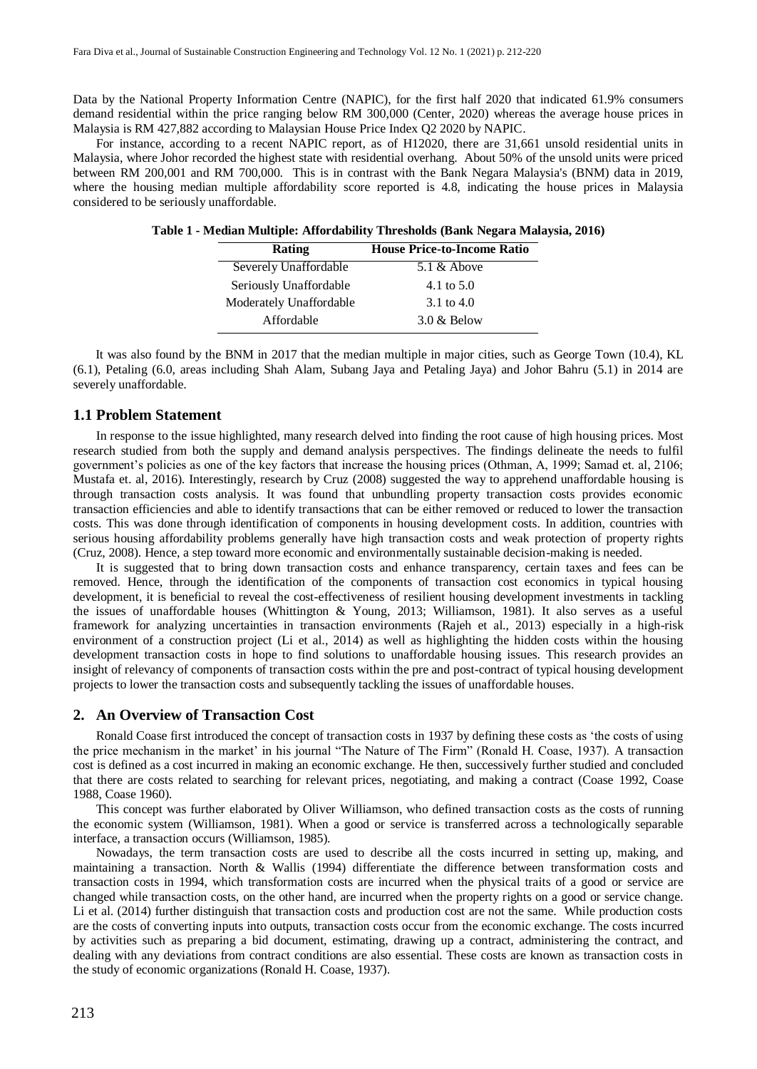Data by the National Property Information Centre (NAPIC), for the first half 2020 that indicated 61.9% consumers demand residential within the price ranging below RM 300,000 (Center, 2020) whereas the average house prices in Malaysia is RM 427,882 according to Malaysian House Price Index Q2 2020 by NAPIC.

For instance, according to a recent NAPIC report, as of H12020, there are 31,661 unsold residential units in Malaysia, where Johor recorded the highest state with residential overhang. About 50% of the unsold units were priced between RM 200,001 and RM 700,000. This is in contrast with the Bank Negara Malaysia's (BNM) data in 2019, where the housing median multiple affordability score reported is 4.8, indicating the house prices in Malaysia considered to be seriously unaffordable.

| <b>Rating</b>           | <b>House Price-to-Income Ratio</b> |  |  |  |
|-------------------------|------------------------------------|--|--|--|
| Severely Unaffordable   | $5.1 \&$ Above                     |  |  |  |
| Seriously Unaffordable  | 4.1 to $5.0$                       |  |  |  |
| Moderately Unaffordable | 3.1 to 4.0                         |  |  |  |
| Affordable              | $3.0 \&$ Below                     |  |  |  |

**Table 1 - Median Multiple: Affordability Thresholds (Bank Negara Malaysia, 2016)**

 It was also found by the BNM in 2017 that the median multiple in major cities, such as George Town (10.4), KL (6.1), Petaling (6.0, areas including Shah Alam, Subang Jaya and Petaling Jaya) and Johor Bahru (5.1) in 2014 are severely unaffordable.

#### **1.1 Problem Statement**

In response to the issue highlighted, many research delved into finding the root cause of high housing prices. Most research studied from both the supply and demand analysis perspectives. The findings delineate the needs to fulfil government's policies as one of the key factors that increase the housing prices (Othman, A, 1999; Samad et. al, 2106; Mustafa et. al, 2016). Interestingly, research by Cruz (2008) suggested the way to apprehend unaffordable housing is through transaction costs analysis. It was found that unbundling property transaction costs provides economic transaction efficiencies and able to identify transactions that can be either removed or reduced to lower the transaction costs. This was done through identification of components in housing development costs. In addition, countries with serious housing affordability problems generally have high transaction costs and weak protection of property rights (Cruz, 2008). Hence, a step toward more economic and environmentally sustainable decision-making is needed.

It is suggested that to bring down transaction costs and enhance transparency, certain taxes and fees can be removed. Hence, through the identification of the components of transaction cost economics in typical housing development, it is beneficial to reveal the cost-effectiveness of resilient housing development investments in tackling the issues of unaffordable houses (Whittington & Young, 2013; Williamson, 1981). It also serves as a useful framework for analyzing uncertainties in transaction environments (Rajeh et al., 2013) especially in a high-risk environment of a construction project (Li et al., 2014) as well as highlighting the hidden costs within the housing development transaction costs in hope to find solutions to unaffordable housing issues. This research provides an insight of relevancy of components of transaction costs within the pre and post-contract of typical housing development projects to lower the transaction costs and subsequently tackling the issues of unaffordable houses.

#### **2. An Overview of Transaction Cost**

Ronald Coase first introduced the concept of transaction costs in 1937 by defining these costs as 'the costs of using the price mechanism in the market' in his journal "The Nature of The Firm" (Ronald H. Coase, 1937). A transaction cost is defined as a cost incurred in making an economic exchange. He then, successively further studied and concluded that there are costs related to searching for relevant prices, negotiating, and making a contract (Coase 1992, Coase 1988, Coase 1960).

This concept was further elaborated by Oliver Williamson, who defined transaction costs as the costs of running the economic system (Williamson, 1981). When a good or service is transferred across a technologically separable interface, a transaction occurs (Williamson, 1985).

Nowadays, the term transaction costs are used to describe all the costs incurred in setting up, making, and maintaining a transaction. North & Wallis (1994) differentiate the difference between transformation costs and transaction costs in 1994, which transformation costs are incurred when the physical traits of a good or service are changed while transaction costs, on the other hand, are incurred when the property rights on a good or service change. Li et al. (2014) further distinguish that transaction costs and production cost are not the same. While production costs are the costs of converting inputs into outputs, transaction costs occur from the economic exchange. The costs incurred by activities such as preparing a bid document, estimating, drawing up a contract, administering the contract, and dealing with any deviations from contract conditions are also essential. These costs are known as transaction costs in the study of economic organizations (Ronald H. Coase, 1937).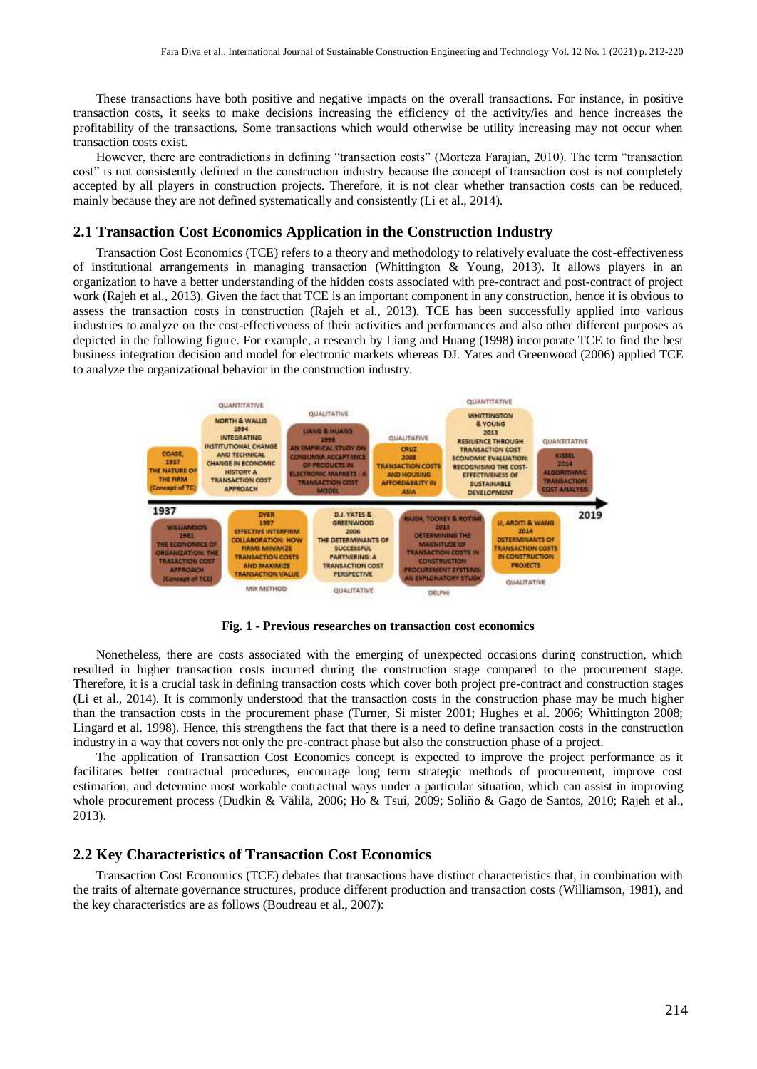These transactions have both positive and negative impacts on the overall transactions. For instance, in positive transaction costs, it seeks to make decisions increasing the efficiency of the activity/ies and hence increases the profitability of the transactions. Some transactions which would otherwise be utility increasing may not occur when transaction costs exist.

However, there are contradictions in defining "transaction costs" (Morteza Farajian, 2010). The term "transaction cost" is not consistently defined in the construction industry because the concept of transaction cost is not completely accepted by all players in construction projects. Therefore, it is not clear whether transaction costs can be reduced, mainly because they are not defined systematically and consistently (Li et al., 2014).

#### **2.1 Transaction Cost Economics Application in the Construction Industry**

Transaction Cost Economics (TCE) refers to a theory and methodology to relatively evaluate the cost-effectiveness of institutional arrangements in managing transaction (Whittington  $\&$  Young, 2013). It allows players in an organization to have a better understanding of the hidden costs associated with pre-contract and post-contract of project work (Rajeh et al., 2013). Given the fact that TCE is an important component in any construction, hence it is obvious to assess the transaction costs in construction (Rajeh et al., 2013). TCE has been successfully applied into various industries to analyze on the cost-effectiveness of their activities and performances and also other different purposes as depicted in the following figure. For example, a research by Liang and Huang (1998) incorporate TCE to find the best business integration decision and model for electronic markets whereas DJ. Yates and Greenwood (2006) applied TCE to analyze the organizational behavior in the construction industry.



**Fig. 1 - Previous researches on transaction cost economics**

Nonetheless, there are costs associated with the emerging of unexpected occasions during construction, which resulted in higher transaction costs incurred during the construction stage compared to the procurement stage. Therefore, it is a crucial task in defining transaction costs which cover both project pre-contract and construction stages (Li et al., 2014). It is commonly understood that the transaction costs in the construction phase may be much higher than the transaction costs in the procurement phase (Turner, Si mister 2001; Hughes et al. 2006; Whittington 2008; Lingard et al. 1998). Hence, this strengthens the fact that there is a need to define transaction costs in the construction industry in a way that covers not only the pre-contract phase but also the construction phase of a project.

The application of Transaction Cost Economics concept is expected to improve the project performance as it facilitates better contractual procedures, encourage long term strategic methods of procurement, improve cost estimation, and determine most workable contractual ways under a particular situation, which can assist in improving whole procurement process (Dudkin & Välilä, 2006; Ho & Tsui, 2009; Soliño & Gago de Santos, 2010; Rajeh et al., 2013).

#### **2.2 Key Characteristics of Transaction Cost Economics**

Transaction Cost Economics (TCE) debates that transactions have distinct characteristics that, in combination with the traits of alternate governance structures, produce different production and transaction costs (Williamson, 1981), and the key characteristics are as follows (Boudreau et al., 2007):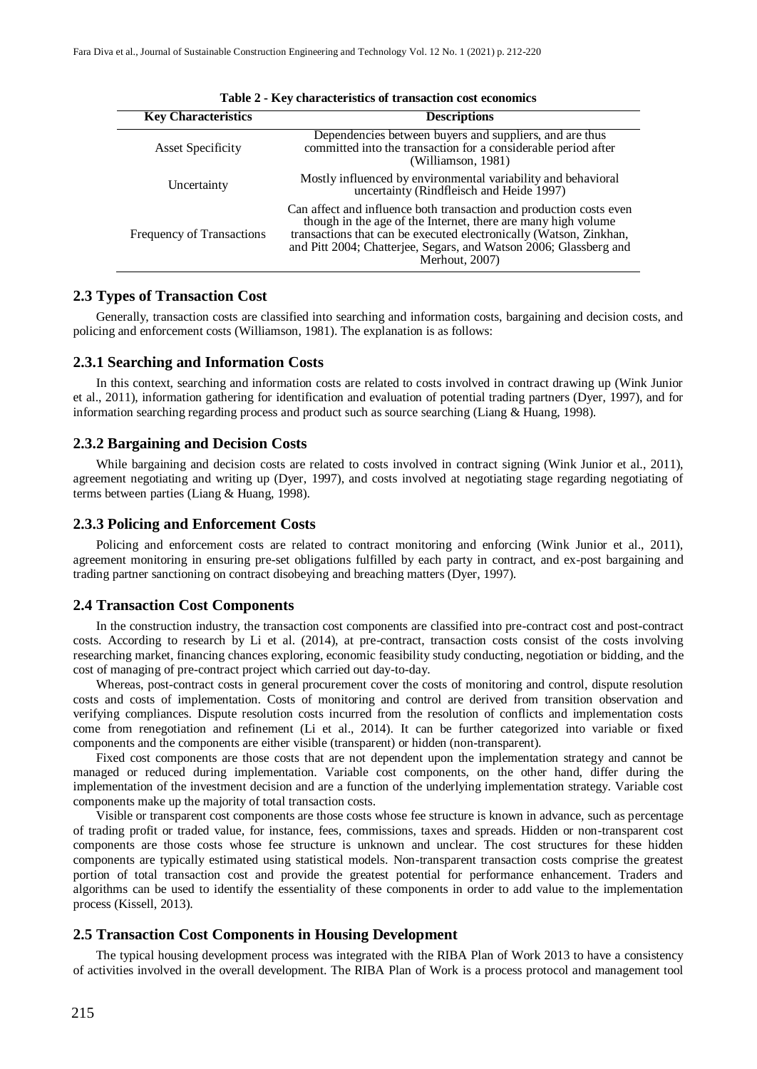| <b>Key Characteristics</b> | <b>Descriptions</b>                                                                                                                                                                                                                                                                               |  |  |  |  |
|----------------------------|---------------------------------------------------------------------------------------------------------------------------------------------------------------------------------------------------------------------------------------------------------------------------------------------------|--|--|--|--|
| <b>Asset Specificity</b>   | Dependencies between buyers and suppliers, and are thus<br>committed into the transaction for a considerable period after<br>(Williamson, 1981)                                                                                                                                                   |  |  |  |  |
| Uncertainty                | Mostly influenced by environmental variability and behavioral<br>uncertainty (Rindfleisch and Heide 1997)                                                                                                                                                                                         |  |  |  |  |
| Frequency of Transactions  | Can affect and influence both transaction and production costs even<br>though in the age of the Internet, there are many high volume<br>transactions that can be executed electronically (Watson, Zinkhan,<br>and Pitt 2004; Chatterjee, Segars, and Watson 2006; Glassberg and<br>Merhout, 2007) |  |  |  |  |

|  |  |  |  |  | Table 2 - Key characteristics of transaction cost economics |  |  |  |  |
|--|--|--|--|--|-------------------------------------------------------------|--|--|--|--|
|--|--|--|--|--|-------------------------------------------------------------|--|--|--|--|

#### **2.3 Types of Transaction Cost**

Generally, transaction costs are classified into searching and information costs, bargaining and decision costs, and policing and enforcement costs (Williamson, 1981). The explanation is as follows:

#### **2.3.1 Searching and Information Costs**

In this context, searching and information costs are related to costs involved in contract drawing up (Wink Junior et al., 2011), information gathering for identification and evaluation of potential trading partners (Dyer, 1997), and for information searching regarding process and product such as source searching (Liang & Huang, 1998).

#### **2.3.2 Bargaining and Decision Costs**

While bargaining and decision costs are related to costs involved in contract signing (Wink Junior et al., 2011), agreement negotiating and writing up (Dyer, 1997), and costs involved at negotiating stage regarding negotiating of terms between parties (Liang & Huang, 1998).

#### **2.3.3 Policing and Enforcement Costs**

Policing and enforcement costs are related to contract monitoring and enforcing (Wink Junior et al., 2011), agreement monitoring in ensuring pre-set obligations fulfilled by each party in contract, and ex-post bargaining and trading partner sanctioning on contract disobeying and breaching matters (Dyer, 1997).

#### **2.4 Transaction Cost Components**

In the construction industry, the transaction cost components are classified into pre-contract cost and post-contract costs. According to research by Li et al. (2014), at pre-contract, transaction costs consist of the costs involving researching market, financing chances exploring, economic feasibility study conducting, negotiation or bidding, and the cost of managing of pre-contract project which carried out day-to-day.

Whereas, post-contract costs in general procurement cover the costs of monitoring and control, dispute resolution costs and costs of implementation. Costs of monitoring and control are derived from transition observation and verifying compliances. Dispute resolution costs incurred from the resolution of conflicts and implementation costs come from renegotiation and refinement (Li et al., 2014). It can be further categorized into variable or fixed components and the components are either visible (transparent) or hidden (non-transparent).

Fixed cost components are those costs that are not dependent upon the implementation strategy and cannot be managed or reduced during implementation. Variable cost components, on the other hand, differ during the implementation of the investment decision and are a function of the underlying implementation strategy. Variable cost components make up the majority of total transaction costs.

Visible or transparent cost components are those costs whose fee structure is known in advance, such as percentage of trading profit or traded value, for instance, fees, commissions, taxes and spreads. Hidden or non-transparent cost components are those costs whose fee structure is unknown and unclear. The cost structures for these hidden components are typically estimated using statistical models. Non-transparent transaction costs comprise the greatest portion of total transaction cost and provide the greatest potential for performance enhancement. Traders and algorithms can be used to identify the essentiality of these components in order to add value to the implementation process (Kissell, 2013).

#### **2.5 Transaction Cost Components in Housing Development**

The typical housing development process was integrated with the RIBA Plan of Work 2013 to have a consistency of activities involved in the overall development. The RIBA Plan of Work is a process protocol and management tool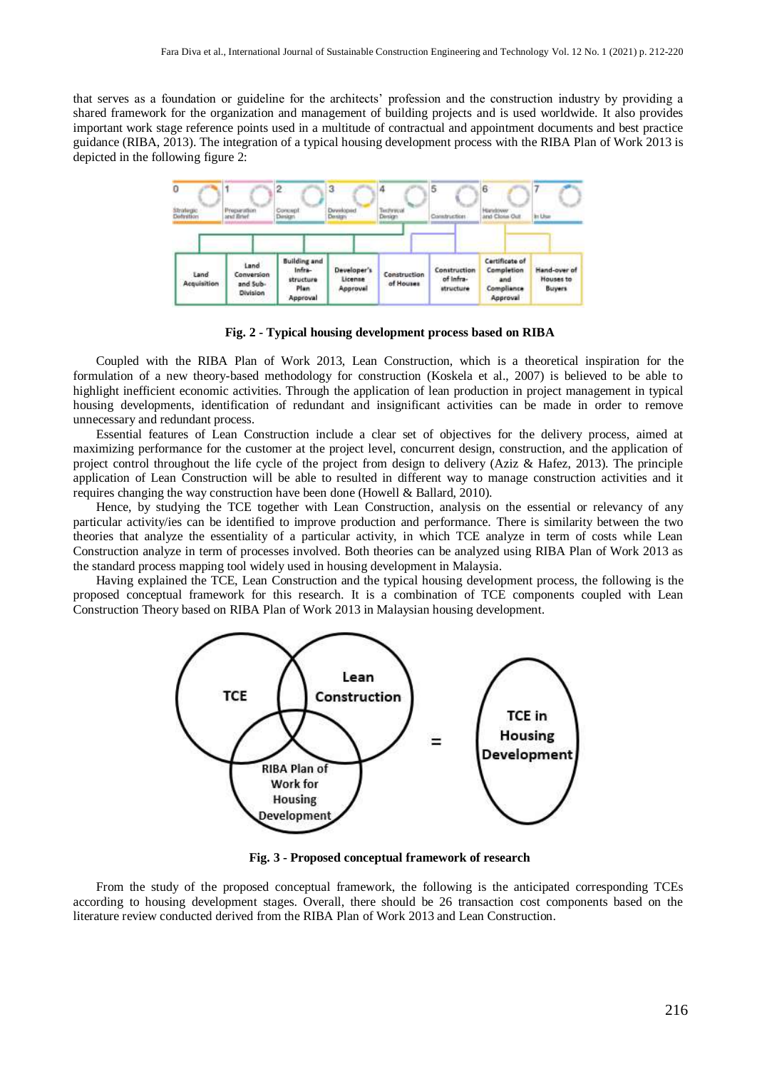that serves as a foundation or guideline for the architects' profession and the construction industry by providing a shared framework for the organization and management of building projects and is used worldwide. It also provides important work stage reference points used in a multitude of contractual and appointment documents and best practice guidance (RIBA, 2013). The integration of a typical housing development process with the RIBA Plan of Work 2013 is depicted in the following figure 2:



**Fig. 2 - Typical housing development process based on RIBA**

Coupled with the RIBA Plan of Work 2013, Lean Construction, which is a theoretical inspiration for the formulation of a new theory-based methodology for construction (Koskela et al., 2007) is believed to be able to highlight inefficient economic activities. Through the application of lean production in project management in typical housing developments, identification of redundant and insignificant activities can be made in order to remove unnecessary and redundant process.

Essential features of Lean Construction include a clear set of objectives for the delivery process, aimed at maximizing performance for the customer at the project level, concurrent design, construction, and the application of project control throughout the life cycle of the project from design to delivery (Aziz & Hafez, 2013). The principle application of Lean Construction will be able to resulted in different way to manage construction activities and it requires changing the way construction have been done (Howell & Ballard, 2010).

Hence, by studying the TCE together with Lean Construction, analysis on the essential or relevancy of any particular activity/ies can be identified to improve production and performance. There is similarity between the two theories that analyze the essentiality of a particular activity, in which TCE analyze in term of costs while Lean Construction analyze in term of processes involved. Both theories can be analyzed using RIBA Plan of Work 2013 as the standard process mapping tool widely used in housing development in Malaysia.

Having explained the TCE, Lean Construction and the typical housing development process, the following is the proposed conceptual framework for this research. It is a combination of TCE components coupled with Lean Construction Theory based on RIBA Plan of Work 2013 in Malaysian housing development.



**Fig. 3 - Proposed conceptual framework of research**

From the study of the proposed conceptual framework, the following is the anticipated corresponding TCEs according to housing development stages. Overall, there should be 26 transaction cost components based on the literature review conducted derived from the RIBA Plan of Work 2013 and Lean Construction.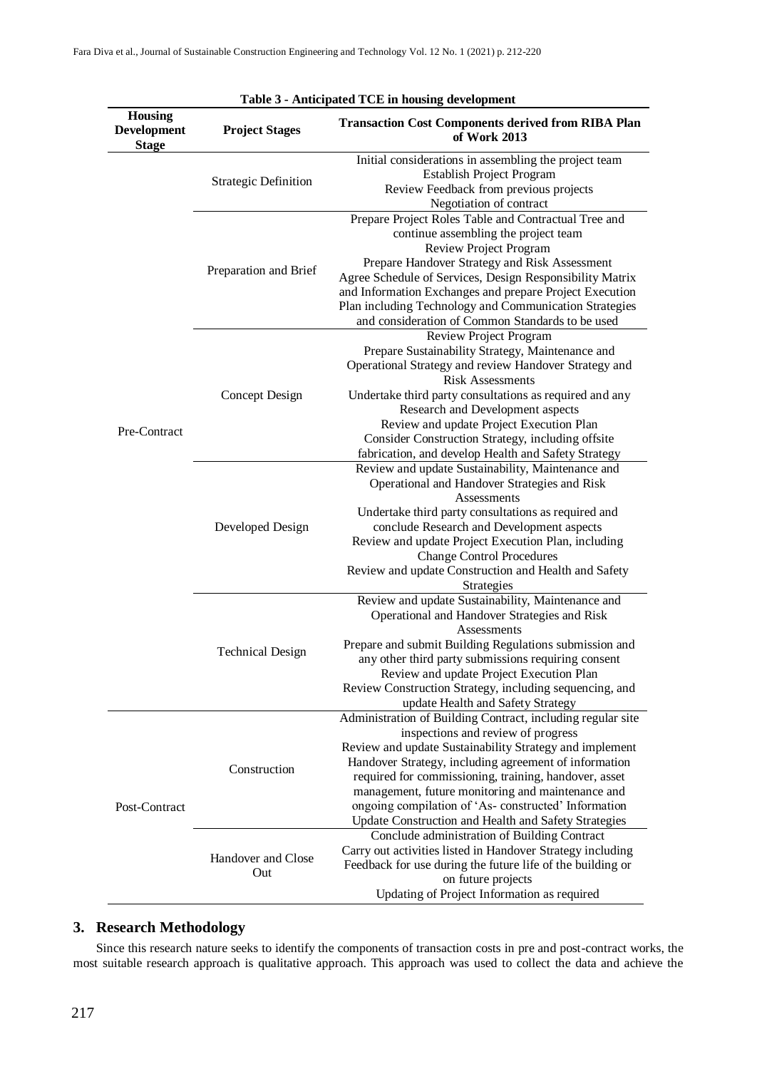| Table 3 - Anticipated TCE in housing development     |                             |                                                                                                                                                                                                                                                                                                                                                                                                                                                    |  |  |  |  |  |
|------------------------------------------------------|-----------------------------|----------------------------------------------------------------------------------------------------------------------------------------------------------------------------------------------------------------------------------------------------------------------------------------------------------------------------------------------------------------------------------------------------------------------------------------------------|--|--|--|--|--|
| <b>Housing</b><br><b>Development</b><br><b>Stage</b> | <b>Project Stages</b>       | <b>Transaction Cost Components derived from RIBA Plan</b><br>of Work 2013                                                                                                                                                                                                                                                                                                                                                                          |  |  |  |  |  |
|                                                      | <b>Strategic Definition</b> | Initial considerations in assembling the project team<br>Establish Project Program<br>Review Feedback from previous projects<br>Negotiation of contract                                                                                                                                                                                                                                                                                            |  |  |  |  |  |
|                                                      | Preparation and Brief       | Prepare Project Roles Table and Contractual Tree and<br>continue assembling the project team<br><b>Review Project Program</b><br>Prepare Handover Strategy and Risk Assessment<br>Agree Schedule of Services, Design Responsibility Matrix<br>and Information Exchanges and prepare Project Execution<br>Plan including Technology and Communication Strategies<br>and consideration of Common Standards to be used                                |  |  |  |  |  |
| Pre-Contract                                         | Concept Design              | <b>Review Project Program</b><br>Prepare Sustainability Strategy, Maintenance and<br>Operational Strategy and review Handover Strategy and<br><b>Risk Assessments</b><br>Undertake third party consultations as required and any<br>Research and Development aspects<br>Review and update Project Execution Plan<br>Consider Construction Strategy, including offsite<br>fabrication, and develop Health and Safety Strategy                       |  |  |  |  |  |
|                                                      | Developed Design            | Review and update Sustainability, Maintenance and<br>Operational and Handover Strategies and Risk<br>Assessments<br>Undertake third party consultations as required and<br>conclude Research and Development aspects<br>Review and update Project Execution Plan, including<br><b>Change Control Procedures</b><br>Review and update Construction and Health and Safety<br><b>Strategies</b>                                                       |  |  |  |  |  |
|                                                      | <b>Technical Design</b>     | Review and update Sustainability, Maintenance and<br>Operational and Handover Strategies and Risk<br>Assessments<br>Prepare and submit Building Regulations submission and<br>any other third party submissions requiring consent<br>Review and update Project Execution Plan<br>Review Construction Strategy, including sequencing, and<br>update Health and Safety Strategy                                                                      |  |  |  |  |  |
| Post-Contract                                        | Construction                | Administration of Building Contract, including regular site<br>inspections and review of progress<br>Review and update Sustainability Strategy and implement<br>Handover Strategy, including agreement of information<br>required for commissioning, training, handover, asset<br>management, future monitoring and maintenance and<br>ongoing compilation of 'As-constructed' Information<br>Update Construction and Health and Safety Strategies |  |  |  |  |  |
|                                                      | Handover and Close<br>Out   | Conclude administration of Building Contract<br>Carry out activities listed in Handover Strategy including<br>Feedback for use during the future life of the building or<br>on future projects<br>Updating of Project Information as required                                                                                                                                                                                                      |  |  |  |  |  |

### **3. Research Methodology**

Since this research nature seeks to identify the components of transaction costs in pre and post-contract works, the most suitable research approach is qualitative approach. This approach was used to collect the data and achieve the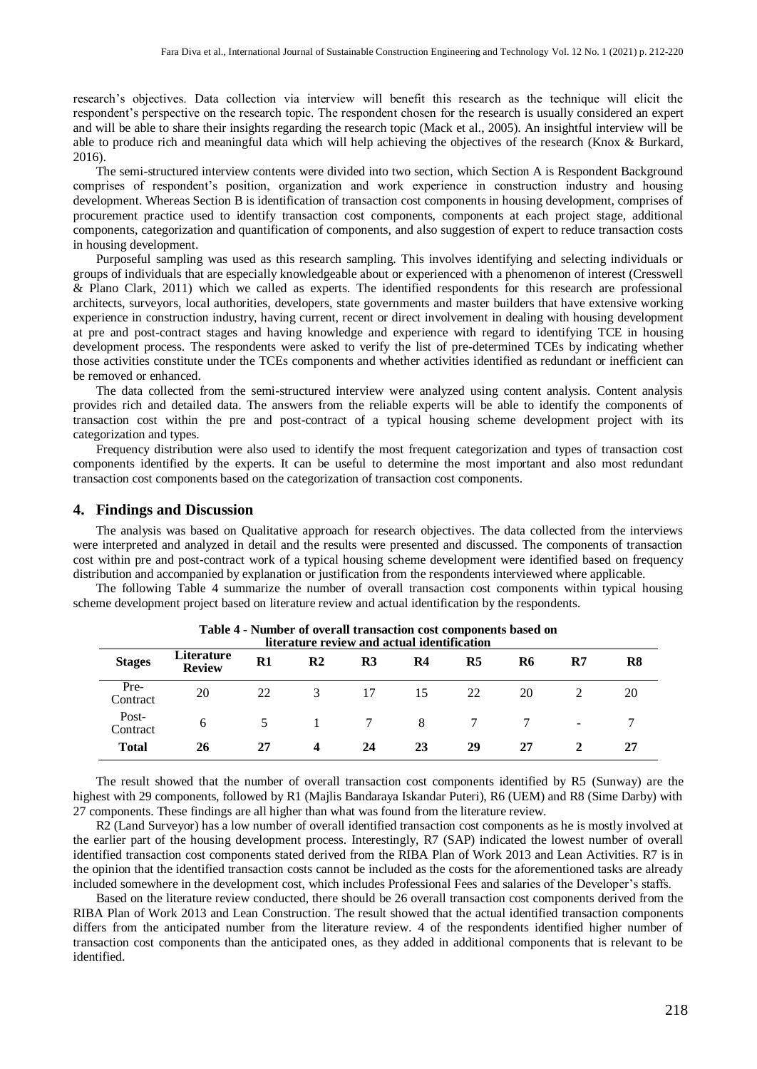research's objectives. Data collection via interview will benefit this research as the technique will elicit the respondent's perspective on the research topic. The respondent chosen for the research is usually considered an expert and will be able to share their insights regarding the research topic (Mack et al., 2005). An insightful interview will be able to produce rich and meaningful data which will help achieving the objectives of the research (Knox & Burkard, 2016).

The semi-structured interview contents were divided into two section, which Section A is Respondent Background comprises of respondent's position, organization and work experience in construction industry and housing development. Whereas Section B is identification of transaction cost components in housing development, comprises of procurement practice used to identify transaction cost components, components at each project stage, additional components, categorization and quantification of components, and also suggestion of expert to reduce transaction costs in housing development.

Purposeful sampling was used as this research sampling. This involves identifying and selecting individuals or groups of individuals that are especially knowledgeable about or experienced with a phenomenon of interest (Cresswell & Plano Clark, 2011) which we called as experts. The identified respondents for this research are professional architects, surveyors, local authorities, developers, state governments and master builders that have extensive working experience in construction industry, having current, recent or direct involvement in dealing with housing development at pre and post-contract stages and having knowledge and experience with regard to identifying TCE in housing development process. The respondents were asked to verify the list of pre-determined TCEs by indicating whether those activities constitute under the TCEs components and whether activities identified as redundant or inefficient can be removed or enhanced.

The data collected from the semi-structured interview were analyzed using content analysis. Content analysis provides rich and detailed data. The answers from the reliable experts will be able to identify the components of transaction cost within the pre and post-contract of a typical housing scheme development project with its categorization and types.

Frequency distribution were also used to identify the most frequent categorization and types of transaction cost components identified by the experts. It can be useful to determine the most important and also most redundant transaction cost components based on the categorization of transaction cost components.

#### **4. Findings and Discussion**

The analysis was based on Qualitative approach for research objectives. The data collected from the interviews were interpreted and analyzed in detail and the results were presented and discussed. The components of transaction cost within pre and post-contract work of a typical housing scheme development were identified based on frequency distribution and accompanied by explanation or justification from the respondents interviewed where applicable.

The following Table 4 summarize the number of overall transaction cost components within typical housing scheme development project based on literature review and actual identification by the respondents.

| <b>Stages</b>     | Literature<br><b>Review</b> | $R1$ | R <sub>2</sub> | R <sub>3</sub> | literature review and actual identification<br>R4 | R <sub>5</sub> | R6 | $\mathbf{R}$             | R8 |
|-------------------|-----------------------------|------|----------------|----------------|---------------------------------------------------|----------------|----|--------------------------|----|
| Pre-<br>Contract  | 20                          | 22   |                | 17             | 15                                                | 22             | 20 |                          | 20 |
| Post-<br>Contract | 6                           |      |                |                | 8                                                 |                |    | $\overline{\phantom{0}}$ |    |
| <b>Total</b>      | 26                          | 27   | 4              | 24             | 23                                                | 29             | 27 |                          | 27 |

**Table 4 - Number of overall transaction cost components based on**

The result showed that the number of overall transaction cost components identified by R5 (Sunway) are the highest with 29 components, followed by R1 (Majlis Bandaraya Iskandar Puteri), R6 (UEM) and R8 (Sime Darby) with 27 components. These findings are all higher than what was found from the literature review.

R2 (Land Surveyor) has a low number of overall identified transaction cost components as he is mostly involved at the earlier part of the housing development process. Interestingly, R7 (SAP) indicated the lowest number of overall identified transaction cost components stated derived from the RIBA Plan of Work 2013 and Lean Activities. R7 is in the opinion that the identified transaction costs cannot be included as the costs for the aforementioned tasks are already included somewhere in the development cost, which includes Professional Fees and salaries of the Developer's staffs.

Based on the literature review conducted, there should be 26 overall transaction cost components derived from the RIBA Plan of Work 2013 and Lean Construction. The result showed that the actual identified transaction components differs from the anticipated number from the literature review. 4 of the respondents identified higher number of transaction cost components than the anticipated ones, as they added in additional components that is relevant to be identified.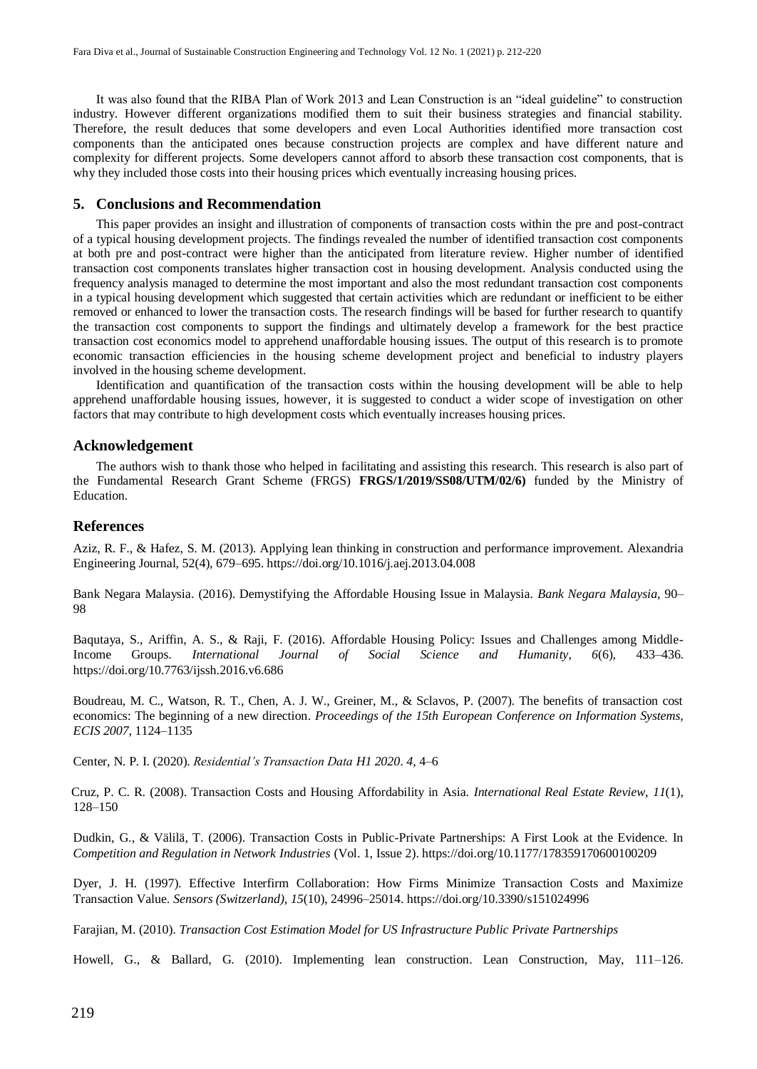It was also found that the RIBA Plan of Work 2013 and Lean Construction is an "ideal guideline" to construction industry. However different organizations modified them to suit their business strategies and financial stability. Therefore, the result deduces that some developers and even Local Authorities identified more transaction cost components than the anticipated ones because construction projects are complex and have different nature and complexity for different projects. Some developers cannot afford to absorb these transaction cost components, that is why they included those costs into their housing prices which eventually increasing housing prices.

#### **5. Conclusions and Recommendation**

This paper provides an insight and illustration of components of transaction costs within the pre and post-contract of a typical housing development projects. The findings revealed the number of identified transaction cost components at both pre and post-contract were higher than the anticipated from literature review. Higher number of identified transaction cost components translates higher transaction cost in housing development. Analysis conducted using the frequency analysis managed to determine the most important and also the most redundant transaction cost components in a typical housing development which suggested that certain activities which are redundant or inefficient to be either removed or enhanced to lower the transaction costs. The research findings will be based for further research to quantify the transaction cost components to support the findings and ultimately develop a framework for the best practice transaction cost economics model to apprehend unaffordable housing issues. The output of this research is to promote economic transaction efficiencies in the housing scheme development project and beneficial to industry players involved in the housing scheme development.

Identification and quantification of the transaction costs within the housing development will be able to help apprehend unaffordable housing issues, however, it is suggested to conduct a wider scope of investigation on other factors that may contribute to high development costs which eventually increases housing prices.

#### **Acknowledgement**

The authors wish to thank those who helped in facilitating and assisting this research. This research is also part of the Fundamental Research Grant Scheme (FRGS) **FRGS/1/2019/SS08/UTM/02/6)** funded by the Ministry of Education.

#### **References**

Aziz, R. F., & Hafez, S. M. (2013). Applying lean thinking in construction and performance improvement. Alexandria Engineering Journal, 52(4), 679–695.<https://doi.org/10.1016/j.aej.2013.04.008>

Bank Negara Malaysia. (2016). Demystifying the Affordable Housing Issue in Malaysia. *Bank Negara Malaysia*, 90– 98

Baqutaya, S., Ariffin, A. S., & Raji, F. (2016). Affordable Housing Policy: Issues and Challenges among Middle-Income Groups. *International Journal of Social Science and Humanity*, *6*(6), 433–436. https://doi.org/10.7763/ijssh.2016.v6.686

Boudreau, M. C., Watson, R. T., Chen, A. J. W., Greiner, M., & Sclavos, P. (2007). The benefits of transaction cost economics: The beginning of a new direction. *Proceedings of the 15th European Conference on Information Systems, ECIS 2007*, 1124–1135

Center, N. P. I. (2020). *Residential's Transaction Data H1 2020*. *4*, 4–6

Cruz, P. C. R. (2008). Transaction Costs and Housing Affordability in Asia. *International Real Estate Review*, *11*(1), 128–150

Dudkin, G., & Välilä, T. (2006). Transaction Costs in Public-Private Partnerships: A First Look at the Evidence. In *Competition and Regulation in Network Industries* (Vol. 1, Issue 2). https://doi.org/10.1177/178359170600100209

Dyer, J. H. (1997). Effective Interfirm Collaboration: How Firms Minimize Transaction Costs and Maximize Transaction Value. *Sensors (Switzerland)*, *15*(10), 24996–25014. https://doi.org/10.3390/s151024996

Farajian, M. (2010). *Transaction Cost Estimation Model for US Infrastructure Public Private Partnerships*

Howell, G., & Ballard, G. (2010). Implementing lean construction. Lean Construction, May, 111–126.